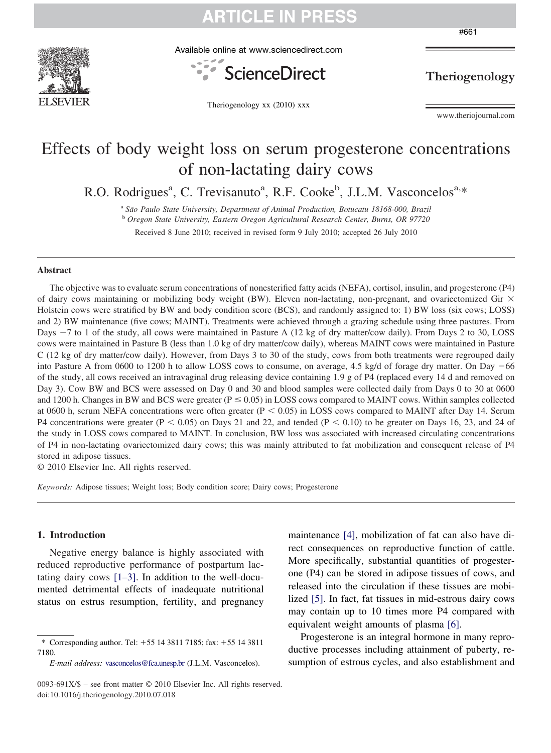

Available online at www.sciencedirect.com

Theriogenology xx (2010) xxx



Theriogenology

www.theriojournal.com

### Effects of body weight loss on serum progesterone concentrations of non-lactating dairy cows

R.O. Rodrigues<sup>a</sup>, C. Trevisanuto<sup>a</sup>, R.F. Cooke<sup>b</sup>, J.L.M. Vasconcelos<sup>a,\*</sup>

<sup>a</sup> *São Paulo State University, Department of Animal Production, Botucatu 18168-000, Brazil*

<sup>b</sup> *Oregon State University, Eastern Oregon Agricultural Research Center, Burns, OR 97720*

Received 8 June 2010; received in revised form 9 July 2010; accepted 26 July 2010

#### **Abstract**

The objective was to evaluate serum concentrations of nonesterified fatty acids (NEFA), cortisol, insulin, and progesterone (P4) of dairy cows maintaining or mobilizing body weight (BW). Eleven non-lactating, non-pregnant, and ovariectomized Gir  $\times$ Holstein cows were stratified by BW and body condition score (BCS), and randomly assigned to: 1) BW loss (six cows; LOSS) and 2) BW maintenance (five cows; MAINT). Treatments were achieved through a grazing schedule using three pastures. From Days  $-7$  to 1 of the study, all cows were maintained in Pasture A (12 kg of dry matter/cow daily). From Days 2 to 30, LOSS cows were maintained in Pasture B (less than 1.0 kg of dry matter/cow daily), whereas MAINT cows were maintained in Pasture C (12 kg of dry matter/cow daily). However, from Days 3 to 30 of the study, cows from both treatments were regrouped daily into Pasture A from 0600 to 1200 h to allow LOSS cows to consume, on average, 4.5 kg/d of forage dry matter. On Day -66 of the study, all cows received an intravaginal drug releasing device containing 1.9 g of P4 (replaced every 14 d and removed on Day 3). Cow BW and BCS were assessed on Day 0 and 30 and blood samples were collected daily from Days 0 to 30 at 0600 and 1200 h. Changes in BW and BCS were greater ( $P \le 0.05$ ) in LOSS cows compared to MAINT cows. Within samples collected at 0600 h, serum NEFA concentrations were often greater  $(P < 0.05)$  in LOSS cows compared to MAINT after Day 14. Serum P4 concentrations were greater ( $P < 0.05$ ) on Days 21 and 22, and tended ( $P < 0.10$ ) to be greater on Days 16, 23, and 24 of the study in LOSS cows compared to MAINT. In conclusion, BW loss was associated with increased circulating concentrations of P4 in non-lactating ovariectomized dairy cows; this was mainly attributed to fat mobilization and consequent release of P4 stored in adipose tissues.

© 2010 Elsevier Inc. All rights reserved.

*Keywords:* Adipose tissues; Weight loss; Body condition score; Dairy cows; Progesterone

#### **1. Introduction**

Negative energy balance is highly associated with reduced reproductive performance of postpartum lactating dairy cows [\[1–3\].](#page-4-0) In addition to the well-documented detrimental effects of inadequate nutritional status on estrus resumption, fertility, and pregnancy maintenance [\[4\],](#page-4-0) mobilization of fat can also have direct consequences on reproductive function of cattle. More specifically, substantial quantities of progesterone (P4) can be stored in adipose tissues of cows, and released into the circulation if these tissues are mobilized [\[5\].](#page-4-0) In fact, fat tissues in mid-estrous dairy cows may contain up to 10 times more P4 compared with equivalent weight amounts of plasma [\[6\].](#page-4-0)

Progesterone is an integral hormone in many reproductive processes including attainment of puberty, resumption of estrous cycles, and also establishment and

#661

<sup>\*</sup> Corresponding author. Tel:  $+55$  14 3811 7185; fax:  $+55$  14 3811 7180.

*E-mail address:* [vasconcelos@fca.unesp.br](mailto:vasconcelos@fca.unesp.br) (J.L.M. Vasconcelos).

<sup>0093-691</sup>X/\$ – see front matter © 2010 Elsevier Inc. All rights reserved. doi:10.1016/j.theriogenology.2010.07.018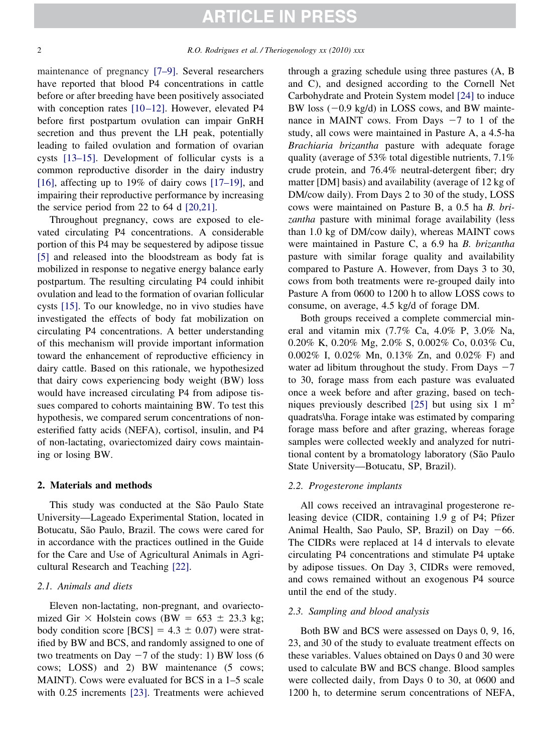maintenance of pregnancy [\[7–9\].](#page-5-0) Several researchers have reported that blood P4 concentrations in cattle before or after breeding have been positively associated with conception rates [10-12]. However, elevated P4 before first postpartum ovulation can impair GnRH secretion and thus prevent the LH peak, potentially leading to failed ovulation and formation of ovarian cysts [\[13–15\].](#page-5-0) Development of follicular cysts is a common reproductive disorder in the dairy industry [\[16\],](#page-5-0) affecting up to 19% of dairy cows [\[17–19\],](#page-5-0) and impairing their reproductive performance by increasing the service period from 22 to 64 d [\[20,21\].](#page-5-0)

Throughout pregnancy, cows are exposed to elevated circulating P4 concentrations. A considerable portion of this P4 may be sequestered by adipose tissue [\[5\]](#page-4-0) and released into the bloodstream as body fat is mobilized in response to negative energy balance early postpartum. The resulting circulating P4 could inhibit ovulation and lead to the formation of ovarian follicular cysts [\[15\].](#page-5-0) To our knowledge, no in vivo studies have investigated the effects of body fat mobilization on circulating P4 concentrations. A better understanding of this mechanism will provide important information toward the enhancement of reproductive efficiency in dairy cattle. Based on this rationale, we hypothesized that dairy cows experiencing body weight (BW) loss would have increased circulating P4 from adipose tissues compared to cohorts maintaining BW. To test this hypothesis, we compared serum concentrations of nonesterified fatty acids (NEFA), cortisol, insulin, and P4 of non-lactating, ovariectomized dairy cows maintaining or losing BW.

#### **2. Materials and methods**

This study was conducted at the São Paulo State University—Lageado Experimental Station, located in Botucatu, São Paulo, Brazil. The cows were cared for in accordance with the practices outlined in the Guide for the Care and Use of Agricultural Animals in Agricultural Research and Teaching [\[22\].](#page-5-0)

#### *2.1. Animals and diets*

Eleven non-lactating, non-pregnant, and ovariectomized Gir  $\times$  Holstein cows (BW = 653  $\pm$  23.3 kg; body condition score  $[BCS] = 4.3 \pm 0.07$ ) were stratified by BW and BCS, and randomly assigned to one of two treatments on Day  $-7$  of the study: 1) BW loss (6 cows; LOSS) and 2) BW maintenance (5 cows; MAINT). Cows were evaluated for BCS in a 1–5 scale with 0.25 increments [\[23\].](#page-5-0) Treatments were achieved

through a grazing schedule using three pastures (A, B and C), and designed according to the Cornell Net Carbohydrate and Protein System model [\[24\]](#page-5-0) to induce BW loss (-0.9 kg/d) in LOSS cows, and BW maintenance in MAINT cows. From Days  $-7$  to 1 of the study, all cows were maintained in Pasture A, a 4.5-ha *Brachiaria brizantha* pasture with adequate forage quality (average of 53% total digestible nutrients, 7.1% crude protein, and 76.4% neutral-detergent fiber; dry matter [DM] basis) and availability (average of 12 kg of DM/cow daily). From Days 2 to 30 of the study, LOSS cows were maintained on Pasture B, a 0.5 ha *B. brizantha* pasture with minimal forage availability (less than 1.0 kg of DM/cow daily), whereas MAINT cows were maintained in Pasture C, a 6.9 ha *B. brizantha* pasture with similar forage quality and availability compared to Pasture A. However, from Days 3 to 30, cows from both treatments were re-grouped daily into Pasture A from 0600 to 1200 h to allow LOSS cows to consume, on average, 4.5 kg/d of forage DM.

Both groups received a complete commercial mineral and vitamin mix (7.7% Ca, 4.0% P, 3.0% Na, 0.20% K, 0.20% Mg, 2.0% S, 0.002% Co, 0.03% Cu, 0.002% I, 0.02% Mn, 0.13% Zn, and 0.02% F) and water ad libitum throughout the study. From Days  $-7$ to 30, forage mass from each pasture was evaluated once a week before and after grazing, based on tech-niques previously described [\[25\]](#page-5-0) but using six 1  $m<sup>2</sup>$ quadrats\ha. Forage intake was estimated by comparing forage mass before and after grazing, whereas forage samples were collected weekly and analyzed for nutritional content by a bromatology laboratory (São Paulo State University—Botucatu, SP, Brazil).

#### *2.2. Progesterone implants*

All cows received an intravaginal progesterone releasing device (CIDR, containing 1.9 g of P4; Pfizer Animal Health, Sao Paulo, SP, Brazil) on Day -66. The CIDRs were replaced at 14 d intervals to elevate circulating P4 concentrations and stimulate P4 uptake by adipose tissues. On Day 3, CIDRs were removed, and cows remained without an exogenous P4 source until the end of the study.

#### *2.3. Sampling and blood analysis*

Both BW and BCS were assessed on Days 0, 9, 16, 23, and 30 of the study to evaluate treatment effects on these variables. Values obtained on Days 0 and 30 were used to calculate BW and BCS change. Blood samples were collected daily, from Days 0 to 30, at 0600 and 1200 h, to determine serum concentrations of NEFA,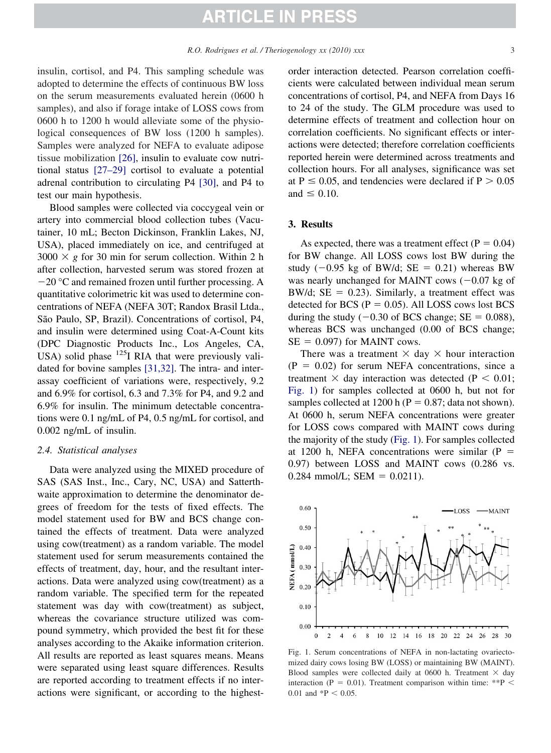insulin, cortisol, and P4. This sampling schedule was adopted to determine the effects of continuous BW loss on the serum measurements evaluated herein (0600 h samples), and also if forage intake of LOSS cows from 0600 h to 1200 h would alleviate some of the physiological consequences of BW loss (1200 h samples). Samples were analyzed for NEFA to evaluate adipose tissue mobilization [\[26\],](#page-5-0) insulin to evaluate cow nutritional status [\[27–29\]](#page-5-0) cortisol to evaluate a potential adrenal contribution to circulating P4 [\[30\],](#page-5-0) and P4 to test our main hypothesis.

Blood samples were collected via coccygeal vein or artery into commercial blood collection tubes (Vacutainer, 10 mL; Becton Dickinson, Franklin Lakes, NJ, USA), placed immediately on ice, and centrifuged at  $3000 \times g$  for 30 min for serum collection. Within 2 h after collection, harvested serum was stored frozen at  $-20$  °C and remained frozen until further processing. A quantitative colorimetric kit was used to determine concentrations of NEFA (NEFA 30T; Randox Brasil Ltda., São Paulo, SP, Brazil). Concentrations of cortisol, P4, and insulin were determined using Coat-A-Count kits (DPC Diagnostic Products Inc., Los Angeles, CA, USA) solid phase  $^{125}I$  RIA that were previously validated for bovine samples [\[31,32\].](#page-5-0) The intra- and interassay coefficient of variations were, respectively, 9.2 and 6.9% for cortisol, 6.3 and 7.3% for P4, and 9.2 and 6.9% for insulin. The minimum detectable concentrations were 0.1 ng/mL of P4, 0.5 ng/mL for cortisol, and 0.002 ng/mL of insulin.

#### *2.4. Statistical analyses*

Data were analyzed using the MIXED procedure of SAS (SAS Inst., Inc., Cary, NC, USA) and Satterthwaite approximation to determine the denominator degrees of freedom for the tests of fixed effects. The model statement used for BW and BCS change contained the effects of treatment. Data were analyzed using cow(treatment) as a random variable. The model statement used for serum measurements contained the effects of treatment, day, hour, and the resultant interactions. Data were analyzed using cow(treatment) as a random variable. The specified term for the repeated statement was day with cow(treatment) as subject, whereas the covariance structure utilized was compound symmetry, which provided the best fit for these analyses according to the Akaike information criterion. All results are reported as least squares means. Means were separated using least square differences. Results are reported according to treatment effects if no interactions were significant, or according to the highestorder interaction detected. Pearson correlation coefficients were calculated between individual mean serum concentrations of cortisol, P4, and NEFA from Days 16 to 24 of the study. The GLM procedure was used to determine effects of treatment and collection hour on correlation coefficients. No significant effects or interactions were detected; therefore correlation coefficients reported herein were determined across treatments and collection hours. For all analyses, significance was set at  $P \le 0.05$ , and tendencies were declared if  $P > 0.05$ and  $\leq 0.10$ .

#### **3. Results**

As expected, there was a treatment effect ( $P = 0.04$ ) for BW change. All LOSS cows lost BW during the study  $(-0.95 \text{ kg of BW/d}; \text{SE} = 0.21)$  whereas BW was nearly unchanged for MAINT cows  $(-0.07 \text{ kg of}$ BW/d;  $SE = 0.23$ ). Similarly, a treatment effect was detected for BCS ( $P = 0.05$ ). All LOSS cows lost BCS during the study  $(-0.30 \text{ of BCS change}; \text{SE} = 0.088)$ , whereas BCS was unchanged (0.00 of BCS change;  $SE = 0.097$ ) for MAINT cows.

There was a treatment  $\times$  day  $\times$  hour interaction  $(P = 0.02)$  for serum NEFA concentrations, since a treatment  $\times$  day interaction was detected (P  $<$  0.01; Fig. 1) for samples collected at 0600 h, but not for samples collected at 1200 h ( $P = 0.87$ ; data not shown). At 0600 h, serum NEFA concentrations were greater for LOSS cows compared with MAINT cows during the majority of the study (Fig. 1). For samples collected at 1200 h, NEFA concentrations were similar  $(P =$ 0.97) between LOSS and MAINT cows (0.286 vs.  $0.284$  mmol/L; SEM =  $0.0211$ ).



Fig. 1. Serum concentrations of NEFA in non-lactating ovariectomized dairy cows losing BW (LOSS) or maintaining BW (MAINT). Blood samples were collected daily at 0600 h. Treatment  $\times$  day interaction (P = 0.01). Treatment comparison within time: \*\*P  $\leq$ 0.01 and  $*P < 0.05$ .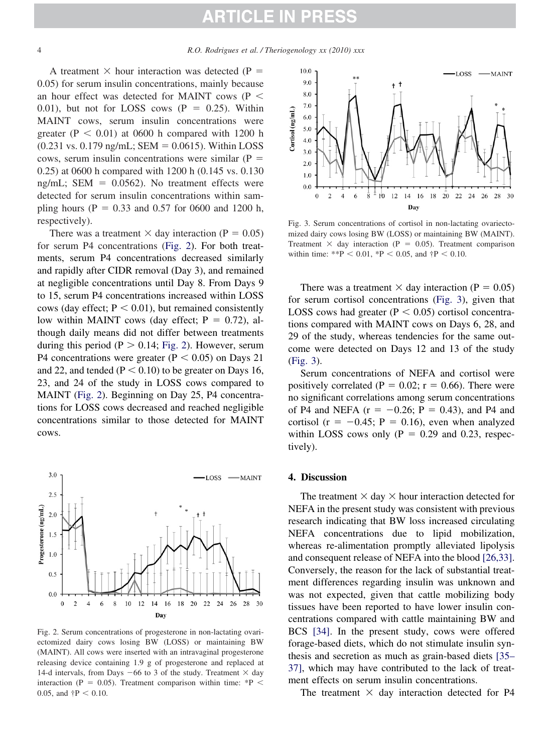<span id="page-3-0"></span>A treatment  $\times$  hour interaction was detected (P = 0.05) for serum insulin concentrations, mainly because an hour effect was detected for MAINT cows (P 0.01), but not for LOSS cows  $(P = 0.25)$ . Within MAINT cows, serum insulin concentrations were greater ( $P < 0.01$ ) at 0600 h compared with 1200 h  $(0.231 \text{ vs. } 0.179 \text{ ng/mL};$  SEM = 0.0615). Within LOSS cows, serum insulin concentrations were similar  $(P =$ 0.25) at 0600 h compared with 1200 h (0.145 vs. 0.130 ng/mL; SEM  $= 0.0562$ ). No treatment effects were detected for serum insulin concentrations within sampling hours ( $P = 0.33$  and 0.57 for 0600 and 1200 h, respectively).

There was a treatment  $\times$  day interaction (P = 0.05) for serum P4 concentrations (Fig. 2). For both treatments, serum P4 concentrations decreased similarly and rapidly after CIDR removal (Day 3), and remained at negligible concentrations until Day 8. From Days 9 to 15, serum P4 concentrations increased within LOSS cows (day effect;  $P < 0.01$ ), but remained consistently low within MAINT cows (day effect;  $P = 0.72$ ), although daily means did not differ between treatments during this period ( $P > 0.14$ ; Fig. 2). However, serum P4 concentrations were greater ( $P < 0.05$ ) on Days 21 and 22, and tended ( $P < 0.10$ ) to be greater on Days 16, 23, and 24 of the study in LOSS cows compared to MAINT (Fig. 2). Beginning on Day 25, P4 concentrations for LOSS cows decreased and reached negligible concentrations similar to those detected for MAINT cows.



Fig. 2. Serum concentrations of progesterone in non-lactating ovariectomized dairy cows losing BW (LOSS) or maintaining BW (MAINT). All cows were inserted with an intravaginal progesterone releasing device containing 1.9 g of progesterone and replaced at 14-d intervals, from Days  $-66$  to 3 of the study. Treatment  $\times$  day interaction (P = 0.05). Treatment comparison within time:  $*P$  < 0.05, and  $\uparrow$ P < 0.10.



Fig. 3. Serum concentrations of cortisol in non-lactating ovariectomized dairy cows losing BW (LOSS) or maintaining BW (MAINT). Treatment  $\times$  day interaction (P = 0.05). Treatment comparison within time: \*\*P < 0.01, \*P < 0.05, and  $\uparrow$ P < 0.10.

There was a treatment  $\times$  day interaction (P = 0.05) for serum cortisol concentrations (Fig. 3), given that LOSS cows had greater  $(P < 0.05)$  cortisol concentrations compared with MAINT cows on Days 6, 28, and 29 of the study, whereas tendencies for the same outcome were detected on Days 12 and 13 of the study (Fig. 3).

Serum concentrations of NEFA and cortisol were positively correlated ( $P = 0.02$ ;  $r = 0.66$ ). There were no significant correlations among serum concentrations of P4 and NEFA  $(r = -0.26; P = 0.43)$ , and P4 and cortisol ( $r = -0.45$ ;  $P = 0.16$ ), even when analyzed within LOSS cows only  $(P = 0.29$  and 0.23, respectively).

#### **4. Discussion**

The treatment  $\times$  day  $\times$  hour interaction detected for NEFA in the present study was consistent with previous research indicating that BW loss increased circulating NEFA concentrations due to lipid mobilization, whereas re-alimentation promptly alleviated lipolysis and consequent release of NEFA into the blood [\[26,33\].](#page-5-0) Conversely, the reason for the lack of substantial treatment differences regarding insulin was unknown and was not expected, given that cattle mobilizing body tissues have been reported to have lower insulin concentrations compared with cattle maintaining BW and BCS [\[34\].](#page-5-0) In the present study, cows were offered forage-based diets, which do not stimulate insulin synthesis and secretion as much as grain-based diets [\[35–](#page-5-0) [37\],](#page-5-0) which may have contributed to the lack of treatment effects on serum insulin concentrations.

The treatment  $\times$  day interaction detected for P4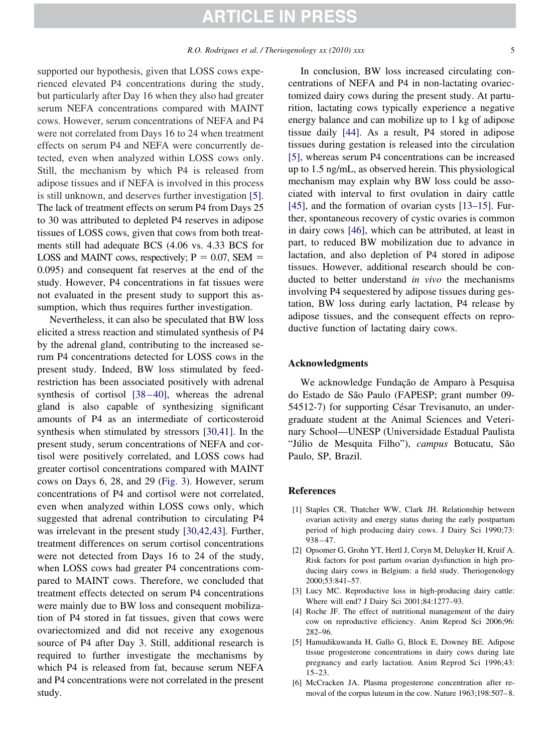<span id="page-4-0"></span>supported our hypothesis, given that LOSS cows experienced elevated P4 concentrations during the study, but particularly after Day 16 when they also had greater serum NEFA concentrations compared with MAINT cows. However, serum concentrations of NEFA and P4 were not correlated from Days 16 to 24 when treatment effects on serum P4 and NEFA were concurrently detected, even when analyzed within LOSS cows only. Still, the mechanism by which P4 is released from adipose tissues and if NEFA is involved in this process is still unknown, and deserves further investigation [5]. The lack of treatment effects on serum P4 from Days 25 to 30 was attributed to depleted P4 reserves in adipose tissues of LOSS cows, given that cows from both treatments still had adequate BCS (4.06 vs. 4.33 BCS for LOSS and MAINT cows, respectively;  $P = 0.07$ , SEM = 0.095) and consequent fat reserves at the end of the study. However, P4 concentrations in fat tissues were not evaluated in the present study to support this assumption, which thus requires further investigation.

Nevertheless, it can also be speculated that BW loss elicited a stress reaction and stimulated synthesis of P4 by the adrenal gland, contributing to the increased serum P4 concentrations detected for LOSS cows in the present study. Indeed, BW loss stimulated by feedrestriction has been associated positively with adrenal synthesis of cortisol [38-40], whereas the adrenal gland is also capable of synthesizing significant amounts of P4 as an intermediate of corticosteroid synthesis when stimulated by stressors [\[30,41\].](#page-5-0) In the present study, serum concentrations of NEFA and cortisol were positively correlated, and LOSS cows had greater cortisol concentrations compared with MAINT cows on Days 6, 28, and 29 [\(Fig. 3\)](#page-3-0). However, serum concentrations of P4 and cortisol were not correlated, even when analyzed within LOSS cows only, which suggested that adrenal contribution to circulating P4 was irrelevant in the present study [\[30,42,43\].](#page-5-0) Further, treatment differences on serum cortisol concentrations were not detected from Days 16 to 24 of the study, when LOSS cows had greater P4 concentrations compared to MAINT cows. Therefore, we concluded that treatment effects detected on serum P4 concentrations were mainly due to BW loss and consequent mobilization of P4 stored in fat tissues, given that cows were ovariectomized and did not receive any exogenous source of P4 after Day 3. Still, additional research is required to further investigate the mechanisms by which P4 is released from fat, because serum NEFA and P4 concentrations were not correlated in the present study.

In conclusion, BW loss increased circulating concentrations of NEFA and P4 in non-lactating ovariectomized dairy cows during the present study. At parturition, lactating cows typically experience a negative energy balance and can mobilize up to 1 kg of adipose tissue daily [\[44\].](#page-6-0) As a result, P4 stored in adipose tissues during gestation is released into the circulation [5], whereas serum P4 concentrations can be increased up to 1.5 ng/mL, as observed herein. This physiological mechanism may explain why BW loss could be associated with interval to first ovulation in dairy cattle [\[45\],](#page-6-0) and the formation of ovarian cysts [\[13–15\].](#page-5-0) Further, spontaneous recovery of cystic ovaries is common in dairy cows [\[46\],](#page-6-0) which can be attributed, at least in part, to reduced BW mobilization due to advance in lactation, and also depletion of P4 stored in adipose tissues. However, additional research should be conducted to better understand *in vivo* the mechanisms involving P4 sequestered by adipose tissues during gestation, BW loss during early lactation, P4 release by adipose tissues, and the consequent effects on reproductive function of lactating dairy cows.

#### **Acknowledgments**

We acknowledge Fundação de Amparo à Pesquisa do Estado de São Paulo (FAPESP; grant number 09- 54512-7) for supporting César Trevisanuto, an undergraduate student at the Animal Sciences and Veterinary School—UNESP (Universidade Estadual Paulista "Júlio de Mesquita Filho"), *campus* Botucatu, São Paulo, SP, Brazil.

#### **References**

- [1] Staples CR, Thatcher WW, Clark JH. Relationship between ovarian activity and energy status during the early postpartum period of high producing dairy cows. J Dairy Sci 1990;73:  $938 - 47.$
- [2] Opsomer G, Grohn YT, Hertl J, Coryn M, Deluyker H, Kruif A. Risk factors for post partum ovarian dysfunction in high producing dairy cows in Belgium: a field study. Theriogenology 2000;53:841–57.
- [3] Lucy MC. Reproductive loss in high-producing dairy cattle: Where will end? J Dairy Sci 2001;84:1277–93.
- [4] Roche JF. The effect of nutritional management of the dairy cow on reproductive efficiency. Anim Reprod Sci 2006;96: 282–96.
- [5] Hamudikuwanda H, Gallo G, Block E, Downey BE. Adipose tissue progesterone concentrations in dairy cows during late pregnancy and early lactation. Anim Reprod Sci 1996;43: 15–23.
- [6] McCracken JA. Plasma progesterone concentration after removal of the corpus luteum in the cow. Nature 1963;198:507-8.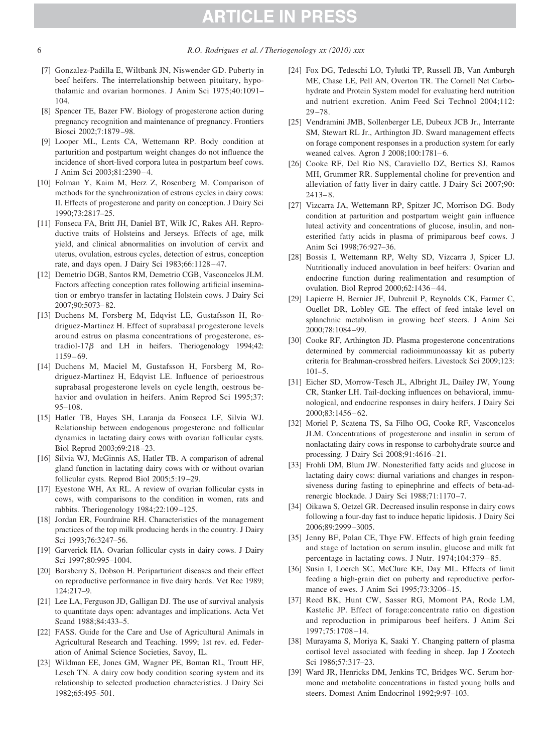- [7] Gonzalez-Padilla E, Wiltbank JN, Niswender GD. Puberty in beef heifers. The interrelationship between pituitary, hypothalamic and ovarian hormones. J Anim Sci 1975;40:1091– 104.
- [8] Spencer TE, Bazer FW. Biology of progesterone action during pregnancy recognition and maintenance of pregnancy. Frontiers Biosci 2002;7:1879 –98.
- [9] Looper ML, Lents CA, Wettemann RP. Body condition at parturition and postpartum weight changes do not influence the incidence of short-lived corpora lutea in postpartum beef cows. J Anim Sci 2003;81:2390 – 4.
- [10] Folman Y, Kaim M, Herz Z, Rosenberg M. Comparison of methods for the synchronization of estrous cycles in dairy cows: II. Effects of progesterone and parity on conception. J Dairy Sci 1990;73:2817–25.
- [11] Fonseca FA, Britt JH, Daniel BT, Wilk JC, Rakes AH. Reproductive traits of Holsteins and Jerseys. Effects of age, milk yield, and clinical abnormalities on involution of cervix and uterus, ovulation, estrous cycles, detection of estrus, conception rate, and days open. J Dairy Sci 1983;66:1128-47.
- [12] Demetrio DGB, Santos RM, Demetrio CGB, Vasconcelos JLM. Factors affecting conception rates following artificial insemination or embryo transfer in lactating Holstein cows. J Dairy Sci 2007;90:5073– 82.
- [13] Duchens M, Forsberg M, Edqvist LE, Gustafsson H, Rodriguez-Martinez H. Effect of suprabasal progesterone levels around estrus on plasma concentrations of progesterone, estradiol-17 $\beta$  and LH in heifers. Theriogenology 1994;42: 1159 – 69.
- [14] Duchens M, Maciel M, Gustafsson H, Forsberg M, Rodriguez-Martinez H, Edqvist LE. Influence of perioestrous suprabasal progesterone levels on cycle length, oestrous behavior and ovulation in heifers. Anim Reprod Sci 1995;37: 95–108.
- [15] Hatler TB, Hayes SH, Laranja da Fonseca LF, Silvia WJ. Relationship between endogenous progesterone and follicular dynamics in lactating dairy cows with ovarian follicular cysts. Biol Reprod 2003;69:218 –23.
- [16] Silvia WJ, McGinnis AS, Hatler TB. A comparison of adrenal gland function in lactating dairy cows with or without ovarian follicular cysts. Reprod Biol 2005;5:19 –29.
- [17] Eyestone WH, Ax RL. A review of ovarian follicular cysts in cows, with comparisons to the condition in women, rats and rabbits. Theriogenology 1984;22:109 –125.
- [18] Jordan ER, Fourdraine RH. Characteristics of the management practices of the top milk producing herds in the country. J Dairy Sci 1993;76:3247–56.
- [19] Garverick HA. Ovarian follicular cysts in dairy cows. J Dairy Sci 1997;80:995–1004.
- [20] Borsberry S, Dobson H. Periparturient diseases and their effect on reproductive performance in five dairy herds. Vet Rec 1989; 124:217–9.
- [21] Lee LA, Ferguson JD, Galligan DJ. The use of survival analysis to quantitate days open: advantages and implications. Acta Vet Scand 1988;84:433–5.
- [22] FASS. Guide for the Care and Use of Agricultural Animals in Agricultural Research and Teaching. 1999; 1st rev. ed. Federation of Animal Science Societies, Savoy, IL.
- [23] Wildman EE, Jones GM, Wagner PE, Boman RL, Troutt HF, Lesch TN. A dairy cow body condition scoring system and its relationship to selected production characteristics. J Dairy Sci 1982;65:495–501.
- [24] Fox DG, Tedeschi LO, Tylutki TP, Russell JB, Van Amburgh ME, Chase LE, Pell AN, Overton TR. The Cornell Net Carbohydrate and Protein System model for evaluating herd nutrition and nutrient excretion. Anim Feed Sci Technol 2004;112: 29 –78.
- [25] Vendramini JMB, Sollenberger LE, Dubeux JCB Jr., Interrante SM, Stewart RL Jr., Arthington JD. Sward management effects on forage component responses in a production system for early weaned calves. Agron J 2008;100:1781-6.
- [26] Cooke RF, Del Rio NS, Caraviello DZ, Bertics SJ, Ramos MH, Grummer RR. Supplemental choline for prevention and alleviation of fatty liver in dairy cattle. J Dairy Sci 2007;90:  $2413 - 8.$
- [27] Vizcarra JA, Wettemann RP, Spitzer JC, Morrison DG. Body condition at parturition and postpartum weight gain influence luteal activity and concentrations of glucose, insulin, and nonesterified fatty acids in plasma of primiparous beef cows. J Anim Sci 1998;76:927–36.
- [28] Bossis I, Wettemann RP, Welty SD, Vizcarra J, Spicer LJ. Nutritionally induced anovulation in beef heifers: Ovarian and endocrine function during realimentation and resumption of ovulation. Biol Reprod 2000;62:1436 – 44.
- [29] Lapierre H, Bernier JF, Dubreuil P, Reynolds CK, Farmer C, Ouellet DR, Lobley GE. The effect of feed intake level on splanchnic metabolism in growing beef steers. J Anim Sci 2000;78:1084 –99.
- [30] Cooke RF, Arthington JD. Plasma progesterone concentrations determined by commercial radioimmunoassay kit as puberty criteria for Brahman-crossbred heifers. Livestock Sci 2009;123:  $101-5$ .
- [31] Eicher SD, Morrow-Tesch JL, Albright JL, Dailey JW, Young CR, Stanker LH. Tail-docking influences on behavioral, immunological, and endocrine responses in dairy heifers. J Dairy Sci 2000;83:1456 – 62.
- [32] Moriel P, Scatena TS, Sa Filho OG, Cooke RF, Vasconcelos JLM. Concentrations of progesterone and insulin in serum of nonlactating dairy cows in response to carbohydrate source and processing. J Dairy Sci 2008;91:4616 –21.
- [33] Frohli DM, Blum JW. Nonesterified fatty acids and glucose in lactating dairy cows: diurnal variations and changes in responsiveness during fasting to epinephrine and effects of beta-adrenergic blockade. J Dairy Sci 1988;71:1170 –7.
- [34] Oikawa S, Oetzel GR. Decreased insulin response in dairy cows following a four-day fast to induce hepatic lipidosis. J Dairy Sci 2006;89:2999 –3005.
- [35] Jenny BF, Polan CE, Thye FW. Effects of high grain feeding and stage of lactation on serum insulin, glucose and milk fat percentage in lactating cows. J Nutr. 1974;104:379 – 85.
- [36] Susin I, Loerch SC, McClure KE, Day ML. Effects of limit feeding a high-grain diet on puberty and reproductive performance of ewes. J Anim Sci 1995;73:3206-15.
- [37] Reed BK, Hunt CW, Sasser RG, Momont PA, Rode LM, Kastelic JP. Effect of forage:concentrate ratio on digestion and reproduction in primiparous beef heifers. J Anim Sci 1997;75:1708 –14.
- [38] Murayama S, Moriya K, Saaki Y. Changing pattern of plasma cortisol level associated with feeding in sheep. Jap J Zootech Sci 1986;57:317–23.
- [39] Ward JR, Henricks DM, Jenkins TC, Bridges WC. Serum hormone and metabolite concentrations in fasted young bulls and steers. Domest Anim Endocrinol 1992;9:97–103.

<span id="page-5-0"></span>